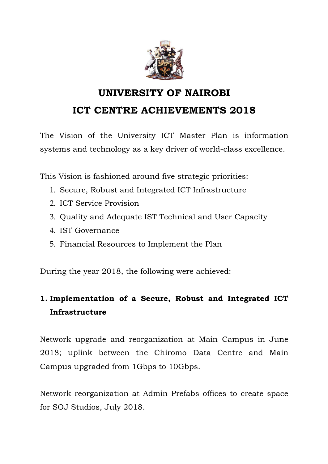

# **UNIVERSITY OF NAIROBI ICT CENTRE ACHIEVEMENTS 2018**

The Vision of the University ICT Master Plan is information systems and technology as a key driver of world-class excellence.

This Vision is fashioned around five strategic priorities:

- 1. Secure, Robust and Integrated ICT Infrastructure
- 2. ICT Service Provision
- 3. Quality and Adequate IST Technical and User Capacity
- 4. IST Governance
- 5. Financial Resources to Implement the Plan

During the year 2018, the following were achieved:

# **1. Implementation of a Secure, Robust and Integrated ICT Infrastructure**

Network upgrade and reorganization at Main Campus in June 2018; uplink between the Chiromo Data Centre and Main Campus upgraded from 1Gbps to 10Gbps.

Network reorganization at Admin Prefabs offices to create space for SOJ Studios, July 2018.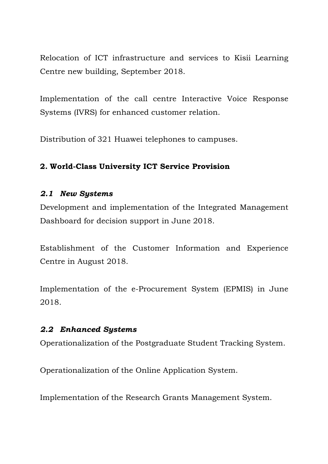Relocation of ICT infrastructure and services to Kisii Learning Centre new building, September 2018.

Implementation of the call centre Interactive Voice Response Systems (IVRS) for enhanced customer relation.

Distribution of 321 Huawei telephones to campuses.

### **2. World-Class University ICT Service Provision**

#### *2.1 New Systems*

Development and implementation of the Integrated Management Dashboard for decision support in June 2018.

Establishment of the Customer Information and Experience Centre in August 2018.

Implementation of the e-Procurement System (EPMIS) in June 2018.

#### *2.2 Enhanced Systems*

Operationalization of the Postgraduate Student Tracking System.

Operationalization of the Online Application System.

Implementation of the Research Grants Management System.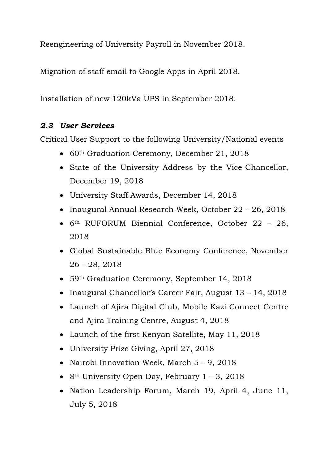Reengineering of University Payroll in November 2018.

Migration of staff email to Google Apps in April 2018.

Installation of new 120kVa UPS in September 2018.

## *2.3 User Services*

Critical User Support to the following University/National events

- 60<sup>th</sup> Graduation Ceremony, December 21, 2018
- State of the University Address by the Vice-Chancellor, December 19, 2018
- University Staff Awards, December 14, 2018
- Inaugural Annual Research Week, October 22 26, 2018
- 6th RUFORUM Biennial Conference, October 22 26, 2018
- Global Sustainable Blue Economy Conference, November 26 – 28, 2018
- 59th Graduation Ceremony, September 14, 2018
- Inaugural Chancellor's Career Fair, August 13 14, 2018
- Launch of Ajira Digital Club, Mobile Kazi Connect Centre and Ajira Training Centre, August 4, 2018
- Launch of the first Kenyan Satellite, May 11, 2018
- University Prize Giving, April 27, 2018
- Nairobi Innovation Week, March 5 9, 2018
- 8<sup>th</sup> University Open Day, February  $1 3$ , 2018
- Nation Leadership Forum, March 19, April 4, June 11, July 5, 2018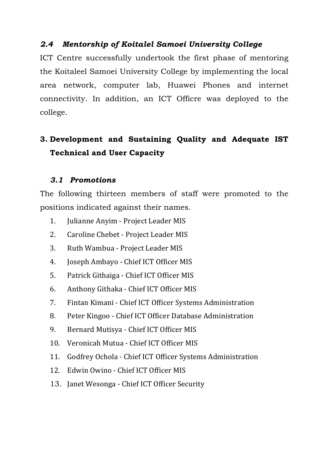### *2.4 Mentorship of Koitalel Samoei University College*

ICT Centre successfully undertook the first phase of mentoring the Koitaleel Samoei University College by implementing the local area network, computer lab, Huawei Phones and internet connectivity. In addition, an ICT Officre was deployed to the college.

# **3. Development and Sustaining Quality and Adequate IST Technical and User Capacity**

### *3.1 Promotions*

The following thirteen members of staff were promoted to the positions indicated against their names.

- 1. Julianne Anyim Project Leader MIS
- 2. Caroline Chebet Project Leader MIS
- 3. Ruth Wambua Project Leader MIS
- 4. Joseph Ambayo Chief ICT Officer MIS
- 5. Patrick Githaiga Chief ICT Officer MIS
- 6. Anthony Githaka Chief ICT Officer MIS
- 7. Fintan Kimani Chief ICT Officer Systems Administration
- 8. Peter Kingoo Chief ICT Officer Database Administration
- 9. Bernard Mutisya Chief ICT Officer MIS
- 10. Veronicah Mutua Chief ICT Officer MIS
- 11. Godfrey Ochola Chief ICT Officer Systems Administration
- 12. Edwin Owino Chief ICT Officer MIS
- 13. Janet Wesonga Chief ICT Officer Security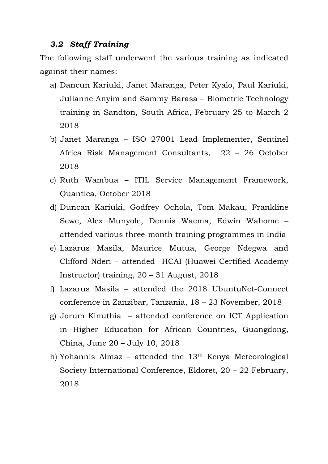#### *3.2 Staff Training*

The following staff underwent the various training as indicated against their names:

- a) Dancun Kariuki, Janet Maranga, Peter Kyalo, Paul Kariuki, Julianne Anyim and Sammy Barasa – Biometric Technology training in Sandton, South Africa, February 25 to March 2 2018
- b) Janet Maranga ISO 27001 Lead Implementer, Sentinel Africa Risk Management Consultants, 22 – 26 October 2018
- c) Ruth Wambua ITIL Service Management Framework, Quantica, October 2018
- d) Duncan Kariuki, Godfrey Ochola, Tom Makau, Frankline Sewe, Alex Munyole, Dennis Waema, Edwin Wahome – attended various three-month training programmes in India
- e) Lazarus Masila, Maurice Mutua, George Ndegwa and Clifford Nderi – attended HCAI (Huawei Certified Academy Instructor) training, 20 – 31 August, 2018
- f) Lazarus Masila attended the 2018 UbuntuNet-Connect conference in Zanzibar, Tanzania, 18 – 23 November, 2018
- g) Jorum Kinuthia attended conference on ICT Application in Higher Education for African Countries, Guangdong, China, June 20 – July 10, 2018
- h) Yohannis Almaz attended the 13th Kenya Meteorological Society International Conference, Eldoret, 20 – 22 February, 2018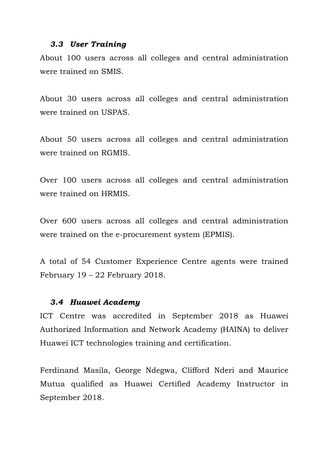#### *3.3 User Training*

About 100 users across all colleges and central administration were trained on SMIS.

About 30 users across all colleges and central administration were trained on USPAS.

About 50 users across all colleges and central administration were trained on RGMIS.

Over 100 users across all colleges and central administration were trained on HRMIS.

Over 600 users across all colleges and central administration were trained on the e-procurement system (EPMIS).

A total of 54 Customer Experience Centre agents were trained February 19 – 22 February 2018.

#### *3.4 Huawei Academy*

ICT Centre was accredited in September 2018 as Huawei Authorized Information and Network Academy (HAINA) to deliver Huawei ICT technologies training and certification.

Ferdinand Masila, George Ndegwa, Clifford Nderi and Maurice Mutua qualified as Huawei Certified Academy Instructor in September 2018.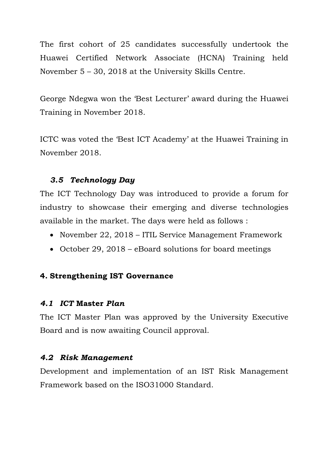The first cohort of 25 candidates successfully undertook the Huawei Certified Network Associate (HCNA) Training held November 5 – 30, 2018 at the University Skills Centre.

George Ndegwa won the 'Best Lecturer' award during the Huawei Training in November 2018.

ICTC was voted the 'Best ICT Academy' at the Huawei Training in November 2018.

### *3.5 Technology Day*

The ICT Technology Day was introduced to provide a forum for industry to showcase their emerging and diverse technologies available in the market. The days were held as follows :

- November 22, 2018 ITIL Service Management Framework
- October 29, 2018 eBoard solutions for board meetings

#### **4. Strengthening IST Governance**

#### *4.1 ICT* **Master** *Plan*

The ICT Master Plan was approved by the University Executive Board and is now awaiting Council approval.

#### *4.2 Risk Management*

Development and implementation of an IST Risk Management Framework based on the ISO31000 Standard.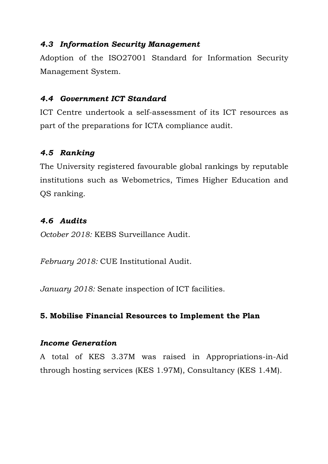#### *4.3 Information Security Management*

Adoption of the ISO27001 Standard for Information Security Management System.

#### *4.4 Government ICT Standard*

ICT Centre undertook a self-assessment of its ICT resources as part of the preparations for ICTA compliance audit.

### *4.5 Ranking*

The University registered favourable global rankings by reputable institutions such as Webometrics, Times Higher Education and QS ranking.

### *4.6 Audits*

*October 2018:* KEBS Surveillance Audit.

*February 2018:* CUE Institutional Audit.

*January 2018:* Senate inspection of ICT facilities.

#### **5. Mobilise Financial Resources to Implement the Plan**

#### *Income Generation*

A total of KES 3.37M was raised in Appropriations-in-Aid through hosting services (KES 1.97M), Consultancy (KES 1.4M).